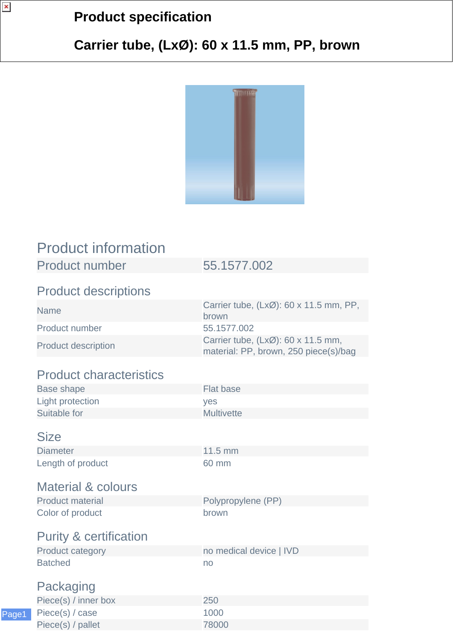## **Product specification**

## **Carrier tube, (LxØ): 60 x 11.5 mm, PP, brown**



| <b>Product information</b>        |                                                                             |
|-----------------------------------|-----------------------------------------------------------------------------|
| <b>Product number</b>             | 55.1577.002                                                                 |
| <b>Product descriptions</b>       |                                                                             |
| <b>Name</b>                       | Carrier tube, (LxØ): 60 x 11.5 mm, PP,<br>brown                             |
| Product number                    | 55.1577.002                                                                 |
| <b>Product description</b>        | Carrier tube, (LxØ): 60 x 11.5 mm,<br>material: PP, brown, 250 piece(s)/bag |
| <b>Product characteristics</b>    |                                                                             |
| <b>Base shape</b>                 | <b>Flat base</b>                                                            |
| <b>Light protection</b>           | yes                                                                         |
| Suitable for                      | <b>Multivette</b>                                                           |
| <b>Size</b>                       |                                                                             |
| <b>Diameter</b>                   | 11.5 mm                                                                     |
| Length of product                 | 60 mm                                                                       |
| <b>Material &amp; colours</b>     |                                                                             |
| <b>Product material</b>           | Polypropylene (PP)                                                          |
| Color of product                  | brown                                                                       |
| <b>Purity &amp; certification</b> |                                                                             |
| <b>Product category</b>           | no medical device   IVD                                                     |
| <b>Batched</b>                    | no                                                                          |
| Packaging                         |                                                                             |
| Piece(s) / inner box              | 250                                                                         |
| Piece(s) / case                   | 1000                                                                        |

Piece(s) / pallet 78000

 $\pmb{\times}$